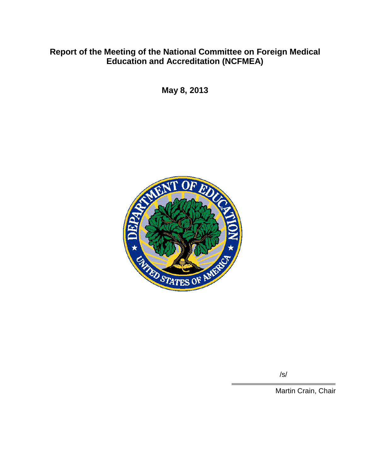# **Report of the Meeting of the National Committee on Foreign Medical Education and Accreditation (NCFMEA)**

**May 8, 2013**



/s/

Martin Crain, Chair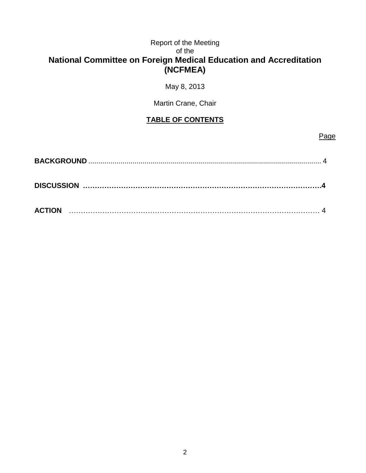## Report of the Meeting of the **National Committee on Foreign Medical Education and Accreditation (NCFMEA)**

May 8, 2013

Martin Crane, Chair

## **TABLE OF CONTENTS**

## Page

| <b>ACTION</b> |  |
|---------------|--|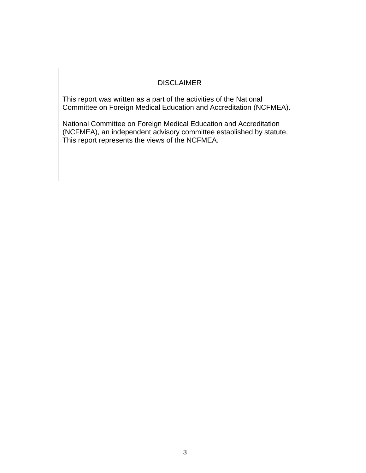## DISCLAIMER

This report was written as a part of the activities of the National Committee on Foreign Medical Education and Accreditation (NCFMEA).

National Committee on Foreign Medical Education and Accreditation (NCFMEA), an independent advisory committee established by statute. This report represents the views of the NCFMEA.